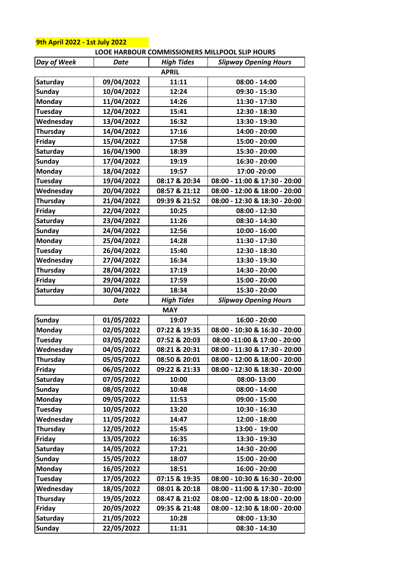|                    |             |                   | LOOE HARBOUR COMMISSIONERS MILLPOOL SLIP HOURS |  |
|--------------------|-------------|-------------------|------------------------------------------------|--|
| <b>Day of Week</b> | Date        | <b>High Tides</b> | <b>Slipway Opening Hours</b>                   |  |
|                    |             | <b>APRIL</b>      |                                                |  |
| Saturday           | 09/04/2022  | 11:11             | $08:00 - 14:00$                                |  |
| <b>Sunday</b>      | 10/04/2022  | 12:24             | 09:30 - 15:30                                  |  |
| <b>Monday</b>      | 11/04/2022  | 14:26             | 11:30 - 17:30                                  |  |
| <b>Tuesday</b>     | 12/04/2022  | 15:41             | 12:30 - 18:30                                  |  |
| Wednesday          | 13/04/2022  | 16:32             | 13:30 - 19:30                                  |  |
| <b>Thursday</b>    | 14/04/2022  | 17:16             | 14:00 - 20:00                                  |  |
| Friday             | 15/04/2022  | 17:58             | 15:00 - 20:00                                  |  |
| Saturday           | 16/04/1900  | 18:39             | 15:30 - 20:00                                  |  |
| <b>Sunday</b>      | 17/04/2022  | 19:19             | 16:30 - 20:00                                  |  |
| <b>Monday</b>      | 18/04/2022  | 19:57             | 17:00 - 20:00                                  |  |
| Tuesday            | 19/04/2022  | 08:17 & 20:34     | 08:00 - 11:00 & 17:30 - 20:00                  |  |
| Wednesday          | 20/04/2022  | 08:57 & 21:12     | 08:00 - 12:00 & 18:00 - 20:00                  |  |
| Thursday           | 21/04/2022  | 09:39 & 21:52     | 08:00 - 12:30 & 18:30 - 20:00                  |  |
| Friday             | 22/04/2022  | 10:25             | $08:00 - 12:30$                                |  |
| Saturday           | 23/04/2022  | 11:26             | $08:30 - 14:30$                                |  |
| <b>Sunday</b>      | 24/04/2022  | 12:56             | $10:00 - 16:00$                                |  |
| <b>Monday</b>      | 25/04/2022  | 14:28             | 11:30 - 17:30                                  |  |
| <b>Tuesday</b>     | 26/04/2022  | 15:40             | 12:30 - 18:30                                  |  |
| Wednesday          | 27/04/2022  | 16:34             | 13:30 - 19:30                                  |  |
| Thursday           | 28/04/2022  | 17:19             | 14:30 - 20:00                                  |  |
| Friday             | 29/04/2022  | 17:59             | 15:00 - 20:00                                  |  |
| Saturday           | 30/04/2022  | 18:34             | 15:30 - 20:00                                  |  |
|                    | <b>Date</b> | <b>High Tides</b> | <b>Slipway Opening Hours</b>                   |  |
|                    |             | <b>MAY</b>        |                                                |  |
| <b>Sunday</b>      | 01/05/2022  | 19:07             | 16:00 - 20:00                                  |  |
| <b>Monday</b>      | 02/05/2022  | 07:22 & 19:35     | 08:00 - 10:30 & 16:30 - 20:00                  |  |
| <b>Tuesday</b>     | 03/05/2022  | 07:52 & 20:03     | 08:00 -11:00 & 17:00 - 20:00                   |  |
| Wednesday          | 04/05/2022  | 08:21 & 20:31     | 08:00 - 11:30 & 17:30 - 20:00                  |  |
| <b>Thursday</b>    | 05/05/2022  | 08:50 & 20:01     | 08:00 - 12:00 & 18:00 - 20:00                  |  |
| <b>Friday</b>      | 06/05/2022  | 09:22 & 21:33     | 08:00 - 12:30 & 18:30 - 20:00                  |  |
| Saturday           | 07/05/2022  | 10:00             | 08:00-13:00                                    |  |
| <b>Sunday</b>      | 08/05/2022  | 10:48             | $08:00 - 14:00$                                |  |
| Monday             | 09/05/2022  | 11:53             | $09:00 - 15:00$                                |  |
| Tuesday            | 10/05/2022  | 13:20             | $10:30 - 16:30$                                |  |
| Wednesday          | 11/05/2022  | 14:47             | 12:00 - 18:00                                  |  |
| Thursday           | 12/05/2022  | 15:45             | 13:00 - 19:00                                  |  |
| Friday             | 13/05/2022  | 16:35             | 13:30 - 19:30                                  |  |
| Saturday           | 14/05/2022  | 17:21             | 14:30 - 20:00                                  |  |
| <b>Sunday</b>      | 15/05/2022  | 18:07             | 15:00 - 20:00                                  |  |
| <b>Monday</b>      | 16/05/2022  | 18:51             | 16:00 - 20:00                                  |  |
| <b>Tuesday</b>     | 17/05/2022  | 07:15 & 19:35     | 08:00 - 10:30 & 16:30 - 20:00                  |  |
| Wednesday          | 18/05/2022  | 08:01 & 20:18     | 08:00 - 11:00 & 17:30 - 20:00                  |  |
| Thursday           | 19/05/2022  | 08:47 & 21:02     | 08:00 - 12:00 & 18:00 - 20:00                  |  |
| Friday             | 20/05/2022  | 09:35 & 21:48     | 08:00 - 12:30 & 18:00 - 20:00                  |  |
| Saturday           | 21/05/2022  | 10:28             | $08:00 - 13:30$                                |  |
| <b>Sunday</b>      | 22/05/2022  | 11:31             | $08:30 - 14:30$                                |  |

## **9th April 2022 - 1st July 2022**

## **LOOE HARBOUR COMMISSIONERS MILLPOOL SLIP HOURS**